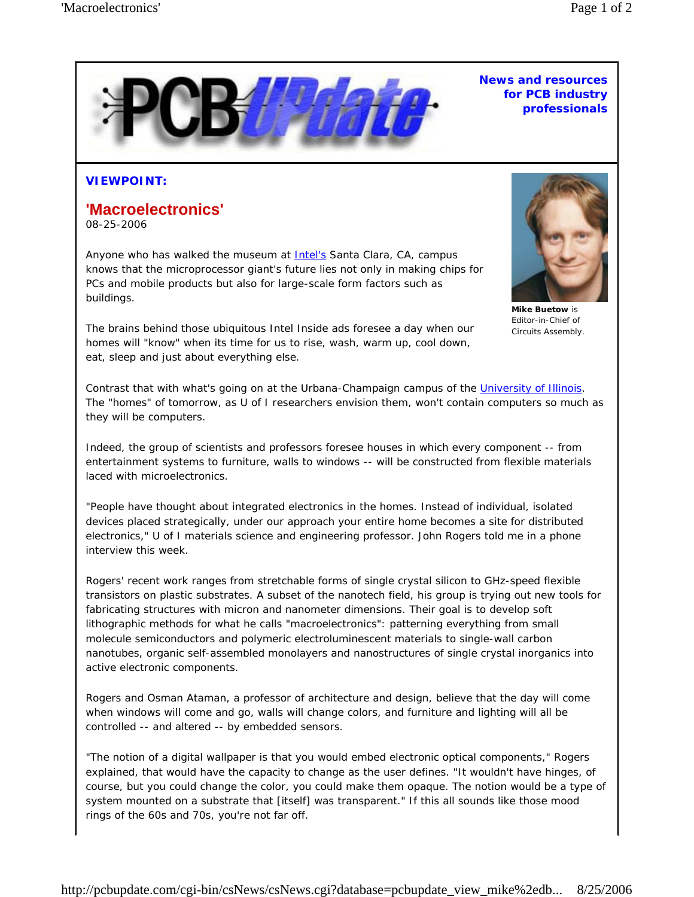

## **News and resources for PCB industry professionals**

## **VIEWPOINT:**

## **'Macroelectronics'**

08-25-2006

Anyone who has walked the museum at Intel's Santa Clara, CA, campus knows that the microprocessor giant's future lies not only in making chips for PCs and mobile products but also for large-scale form factors such as buildings.



**Mike Buetow** is Editor-in-Chief of *Circuits Assembly*.

The brains behind those ubiquitous *Intel Inside* ads foresee a day when our homes will "know" when its time for us to rise, wash, warm up, cool down, eat, sleep and just about everything else.

Contrast that with what's going on at the Urbana-Champaign campus of the University of Illinois. The "homes" of tomorrow, as U of I researchers envision them, won't contain computers so much as they will *be* computers.

Indeed, the group of scientists and professors foresee houses in which every component -- from entertainment systems to furniture, walls to windows -- will be constructed from flexible materials laced with microelectronics.

"People have thought about integrated electronics in the homes. Instead of individual, isolated devices placed strategically, under our approach your entire home becomes a site for distributed electronics," U of I materials science and engineering professor. John Rogers told me in a phone interview this week.

Rogers' recent work ranges from stretchable forms of single crystal silicon to GHz-speed flexible transistors on plastic substrates. A subset of the nanotech field, his group is trying out new tools for fabricating structures with micron and nanometer dimensions. Their goal is to develop soft lithographic methods for what he calls "macroelectronics": patterning everything from small molecule semiconductors and polymeric electroluminescent materials to single-wall carbon nanotubes, organic self-assembled monolayers and nanostructures of single crystal inorganics into active electronic components.

Rogers and Osman Ataman, a professor of architecture and design, believe that the day will come when windows will come and go, walls will change colors, and furniture and lighting will all be controlled -- and altered -- by embedded sensors.

"The notion of a digital wallpaper is that you would embed electronic optical components," Rogers explained, that would have the capacity to change as the user defines. "It wouldn't have hinges, of course, but you could change the color, you could make them opaque. The notion would be a type of system mounted on a substrate that [itself] was transparent." If this all sounds like those mood rings of the 60s and 70s, you're not far off.